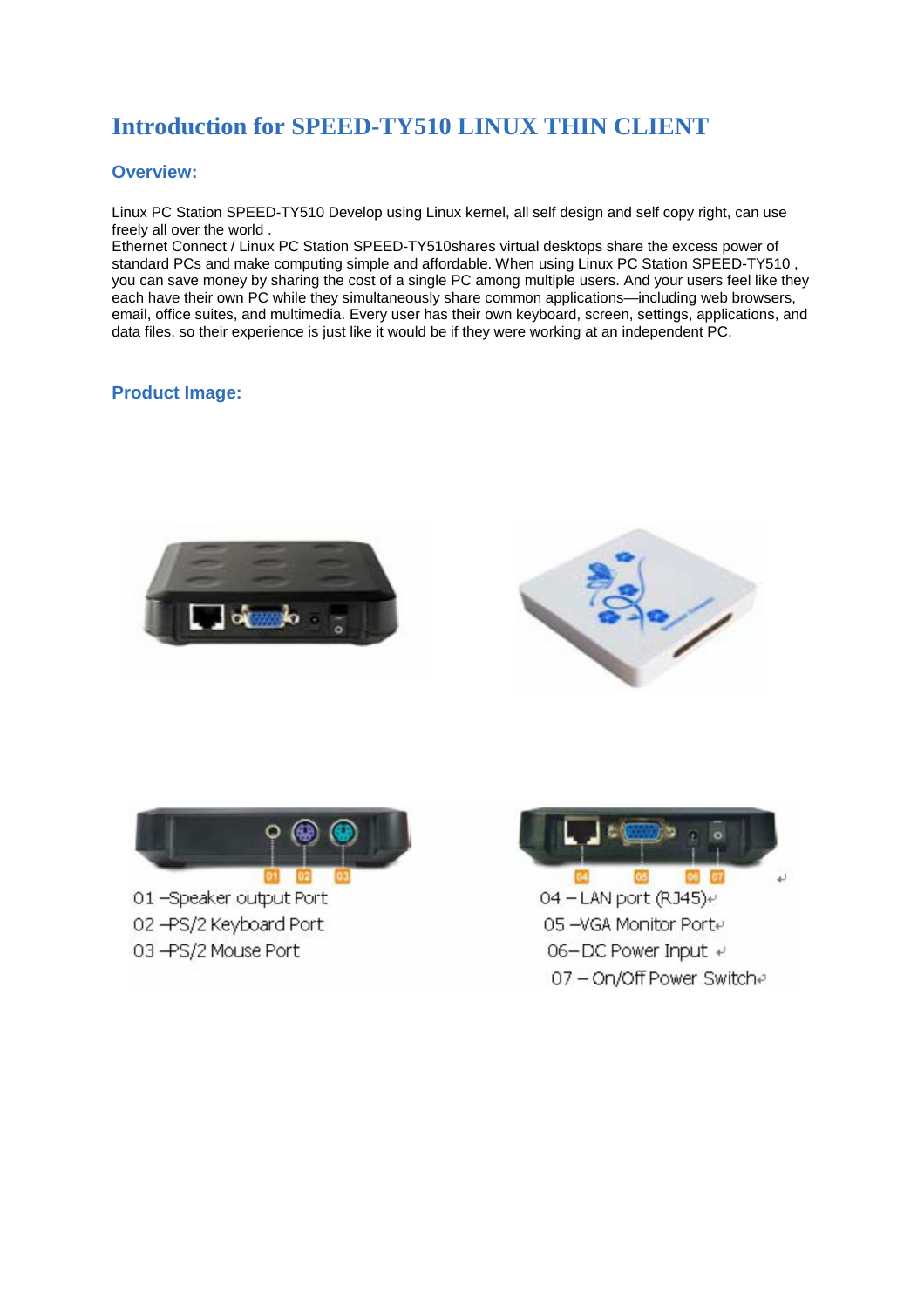# **Introduction for SPEED-TY510 LINUX THIN CLIENT**

## **Overview:**

Linux PC Station SPEED-TY510 Develop using Linux kernel, all self design and self copy right, can use freely all over the world .

Ethernet Connect / Linux PC Station SPEED-TY510shares virtual desktops share the excess power of standard PCs and make computing simple and affordable. When using Linux PC Station SPEED-TY510 , you can save money by sharing the cost of a single PC among multiple users. And your users feel like they each have their own PC while they simultaneously share common applications—including web browsers, email, office suites, and multimedia. Every user has their own keyboard, screen, settings, applications, and data files, so their experience is just like it would be if they were working at an independent PC.

## **Product Image:**







01-Speaker output Port 02-PS/2 Keyboard Port

03 - PS/2 Mouse Port



05 -VGA Monitor Porte. 06-DC Power Input + 07 - On/Off Power Switche